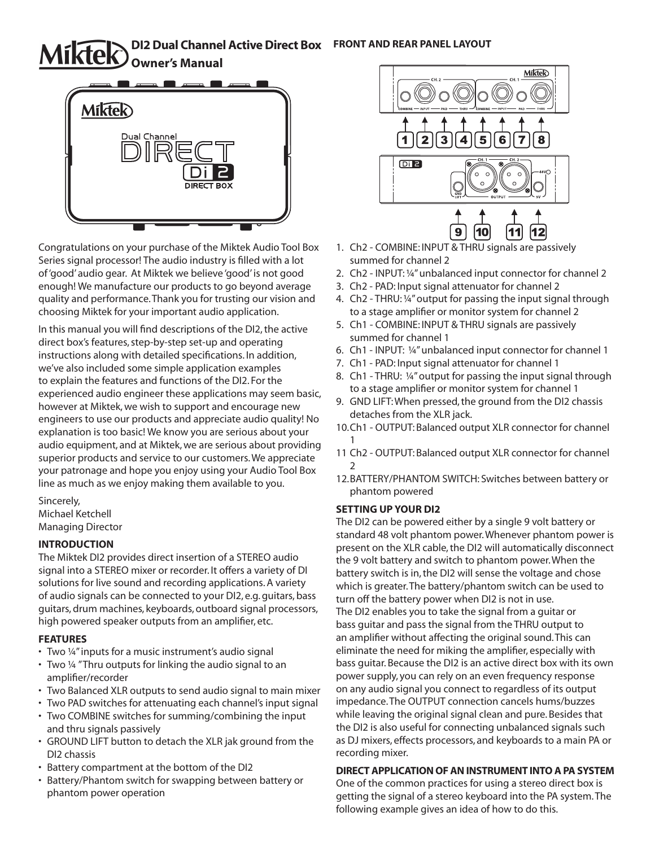# **DI2 Dual Channel Active Direct Box FRONT AND REAR PANEL LAYOUT Owner's Manual**



Congratulations on your purchase of the Miktek Audio Tool Box Series signal processor! The audio industry is filled with a lot of 'good' audio gear. At Miktek we believe 'good' is not good enough! We manufacture our products to go beyond average quality and performance. Thank you for trusting our vision and choosing Miktek for your important audio application.

In this manual you will find descriptions of the DI2, the active direct box's features, step-by-step set-up and operating instructions along with detailed specifications. In addition, we've also included some simple application examples to explain the features and functions of the DI2. For the experienced audio engineer these applications may seem basic, however at Miktek, we wish to support and encourage new engineers to use our products and appreciate audio quality! No explanation is too basic! We know you are serious about your audio equipment, and at Miktek, we are serious about providing superior products and service to our customers. We appreciate your patronage and hope you enjoy using your Audio Tool Box line as much as we enjoy making them available to you.

Sincerely, Michael Ketchell Managing Director

## **INTRODUCTION**

The Miktek DI2 provides direct insertion of a STEREO audio signal into a STEREO mixer or recorder. It offers a variety of DI solutions for live sound and recording applications. A variety of audio signals can be connected to your DI2, e.g. guitars, bass guitars, drum machines, keyboards, outboard signal processors, high powered speaker outputs from an amplifier, etc.

## **FEATURES**

- Two ¼" inputs for a music instrument's audio signal
- Two ¼ " Thru outputs for linking the audio signal to an amplifier/recorder
- Two Balanced XLR outputs to send audio signal to main mixer
- Two PAD switches for attenuating each channel's input signal
- Two COMBINE switches for summing/combining the input and thru signals passively
- GROUND LIFT button to detach the XLR jak ground from the DI2 chassis
- Battery compartment at the bottom of the DI2
- Battery/Phantom switch for swapping between battery or phantom power operation



- 1. Ch2 COMBINE: INPUT & THRU signals are passively summed for channel 2
- 2. Ch2 INPUT: ¼" unbalanced input connector for channel 2
- 3. Ch2 PAD: Input signal attenuator for channel 2
- 4. Ch2 THRU: ¼" output for passing the input signal through to a stage amplifier or monitor system for channel 2
- 5. Ch1 COMBINE: INPUT & THRU signals are passively summed for channel 1
- 6. Ch1 INPUT: ¼" unbalanced input connector for channel 1
- 7. Ch1 PAD: Input signal attenuator for channel 1
- 8. Ch1 THRU: ¼" output for passing the input signal through to a stage amplifier or monitor system for channel 1
- 9. GND LIFT: When pressed, the ground from the DI2 chassis detaches from the XLR jack.
- 10.Ch1 OUTPUT: Balanced output XLR connector for channel 1
- 11 Ch2 OUTPUT: Balanced output XLR connector for channel  $\mathfrak{D}$
- 12.BATTERY/PHANTOM SWITCH: Switches between battery or phantom powered

## **SETTING UP YOUR DI2**

The DI2 can be powered either by a single 9 volt battery or standard 48 volt phantom power. Whenever phantom power is present on the XLR cable, the DI2 will automatically disconnect the 9 volt battery and switch to phantom power. When the battery switch is in, the DI2 will sense the voltage and chose which is greater. The battery/phantom switch can be used to turn off the battery power when DI2 is not in use. The DI2 enables you to take the signal from a guitar or bass guitar and pass the signal from the THRU output to an amplifier without affecting the original sound. This can eliminate the need for miking the amplifier, especially with bass guitar. Because the DI2 is an active direct box with its own power supply, you can rely on an even frequency response on any audio signal you connect to regardless of its output impedance. The OUTPUT connection cancels hums/buzzes while leaving the original signal clean and pure. Besides that the DI2 is also useful for connecting unbalanced signals such as DJ mixers, effects processors, and keyboards to a main PA or recording mixer.

## **DIRECT APPLICATION OF AN INSTRUMENT INTO A PA SYSTEM**

One of the common practices for using a stereo direct box is getting the signal of a stereo keyboard into the PA system. The following example gives an idea of how to do this.